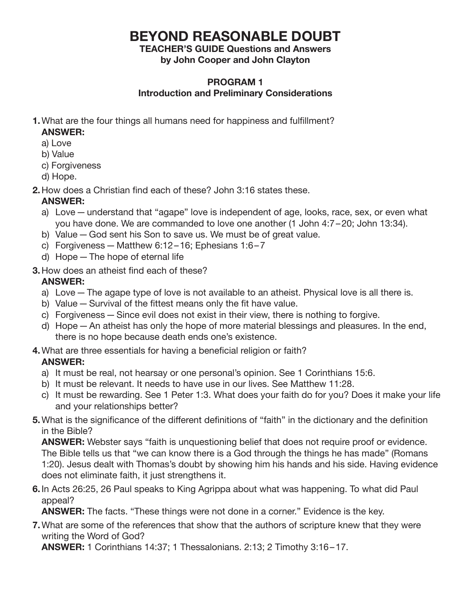# **BEYOND REASONABLE DOUBT**

# **TEACHER'S GUIDE Questions and Answers**

**by John Cooper and John Clayton**

#### **PROGRAM 1 Introduction and Preliminary Considerations**

**1.** What are the four things all humans need for happiness and fulfillment?

## **ANSWER:**

- a) Love
- b) Value
- c) Forgiveness
- d) Hope.
- **2.** How does a Christian find each of these? John 3:16 states these.

## **ANSWER:**

- a) Love—understand that "agape" love is independent of age, looks, race, sex, or even what you have done. We are commanded to love one another (1 John 4:7–20; John 13:34).
- b) Value—God sent his Son to save us. We must be of great value.
- c) Forgiveness Matthew 6:12-16; Ephesians  $1:6-7$
- d) Hope—The hope of eternal life
- **3.** How does an atheist find each of these?

# **ANSWER:**

- a) Love—The agape type of love is not available to an atheist. Physical love is all there is.
- b) Value Survival of the fittest means only the fit have value.
- c) Forgiveness—Since evil does not exist in their view, there is nothing to forgive.
- d) Hope—An atheist has only the hope of more material blessings and pleasures. In the end, there is no hope because death ends one's existence.
- **4.** What are three essentials for having a beneficial religion or faith?

# **ANSWER:**

- a) It must be real, not hearsay or one personal's opinion. See 1 Corinthians 15:6.
- b) It must be relevant. It needs to have use in our lives. See Matthew 11:28.
- c) It must be rewarding. See 1 Peter 1:3. What does your faith do for you? Does it make your life and your relationships better?
- **5.** What is the significance of the different definitions of "faith" in the dictionary and the definition in the Bible?

 **ANSWER:** Webster says "faith is unquestioning belief that does not require proof or evidence. The Bible tells us that "we can know there is a God through the things he has made" (Romans 1:20). Jesus dealt with Thomas's doubt by showing him his hands and his side. Having evidence does not eliminate faith, it just strengthens it.

**6.** In Acts 26:25, 26 Paul speaks to King Agrippa about what was happening. To what did Paul appeal?

**ANSWER:** The facts. "These things were not done in a corner." Evidence is the key.

**7.**What are some of the references that show that the authors of scripture knew that they were writing the Word of God?

 **ANSWER:** 1 Corinthians 14:37; 1 Thessalonians. 2:13; 2 Timothy 3:16–17.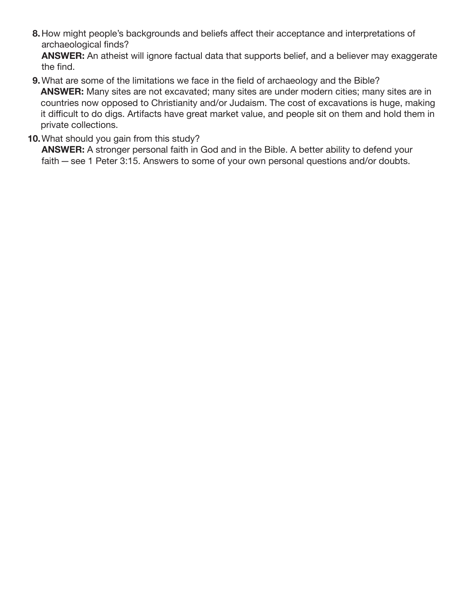**8.** How might people's backgrounds and beliefs affect their acceptance and interpretations of archaeological finds?

 **ANSWER:** An atheist will ignore factual data that supports belief, and a believer may exaggerate the find.

**9.** What are some of the limitations we face in the field of archaeology and the Bible?

 **ANSWER:** Many sites are not excavated; many sites are under modern cities; many sites are in countries now opposed to Christianity and/or Judaism. The cost of excavations is huge, making it difficult to do digs. Artifacts have great market value, and people sit on them and hold them in private collections.

#### **10.** What should you gain from this study?

 **ANSWER:** A stronger personal faith in God and in the Bible. A better ability to defend your faith—see 1 Peter 3:15. Answers to some of your own personal questions and/or doubts.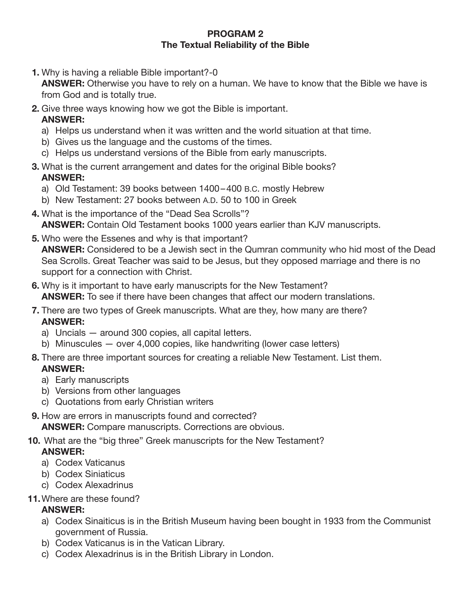#### **PROGRAM 2 The Textual Reliability of the Bible**

**1.** Why is having a reliable Bible important?-0

 **ANSWER:** Otherwise you have to rely on a human. We have to know that the Bible we have is from God and is totally true.

- **2.** Give three ways knowing how we got the Bible is important.  **ANSWER:**
	- a) Helps us understand when it was written and the world situation at that time.
	- b) Gives us the language and the customs of the times.
	- c) Helps us understand versions of the Bible from early manuscripts.
- **3.** What is the current arrangement and dates for the original Bible books?  **ANSWER:**
	- a) Old Testament: 39 books between 1400–400 B.C. mostly Hebrew
	- b) New Testament: 27 books between A.D. 50 to 100 in Greek
- **4.** What is the importance of the "Dead Sea Scrolls"?  **ANSWER:** Contain Old Testament books 1000 years earlier than KJV manuscripts.
- **5.** Who were the Essenes and why is that important?  **ANSWER:** Considered to be a Jewish sect in the Qumran community who hid most of the Dead Sea Scrolls. Great Teacher was said to be Jesus, but they opposed marriage and there is no support for a connection with Christ.
- **6.** Why is it important to have early manuscripts for the New Testament?  **ANSWER:** To see if there have been changes that affect our modern translations.
- **7.** There are two types of Greek manuscripts. What are they, how many are there?  **ANSWER:**
	- a) Uncials around 300 copies, all capital letters.
	- b) Minuscules  $-$  over 4,000 copies, like handwriting (lower case letters)
- **8.** There are three important sources for creating a reliable New Testament. List them.  **ANSWER:**
	- a) Early manuscripts
	- b) Versions from other languages
	- c) Quotations from early Christian writers
- **9.** How are errors in manuscripts found and corrected?  **ANSWER:** Compare manuscripts. Corrections are obvious.
- **10.** What are the "big three" Greek manuscripts for the New Testament?  **ANSWER:**
	- a) Codex Vaticanus
	- b) Codex Siniaticus
	- c) Codex Alexadrinus
- **11.** Where are these found?

### **ANSWER:**

- a) Codex Sinaiticus is in the British Museum having been bought in 1933 from the Communist government of Russia.
- b) Codex Vaticanus is in the Vatican Library.
- c) Codex Alexadrinus is in the British Library in London.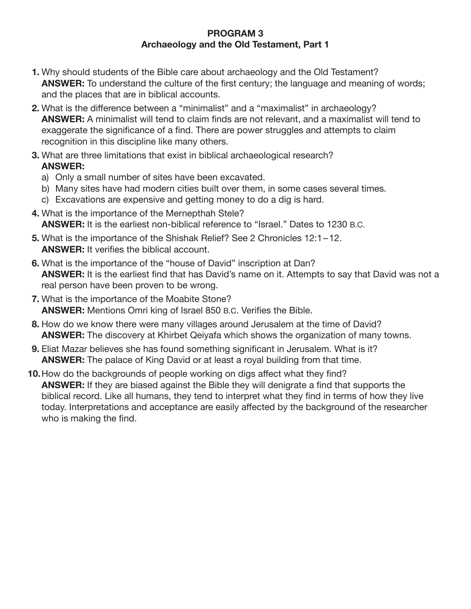#### **PROGRAM 3 Archaeology and the Old Testament, Part 1**

- **1.** Why should students of the Bible care about archaeology and the Old Testament? **ANSWER:** To understand the culture of the first century; the language and meaning of words; and the places that are in biblical accounts.
- **2.** What is the difference between a "minimalist" and a "maximalist" in archaeology? **ANSWER:** A minimalist will tend to claim finds are not relevant, and a maximalist will tend to exaggerate the significance of a find. There are power struggles and attempts to claim recognition in this discipline like many others.
- **3.** What are three limitations that exist in biblical archaeological research? **ANSWER:**
	- a) Only a small number of sites have been excavated.
	- b) Many sites have had modern cities built over them, in some cases several times.
	- c) Excavations are expensive and getting money to do a dig is hard.
- **4.** What is the importance of the Mernepthah Stele? **ANSWER:** It is the earliest non-biblical reference to "Israel." Dates to 1230 B.C.
- **5.** What is the importance of the Shishak Relief? See 2 Chronicles 12:1–12. **ANSWER:** It verifies the biblical account.
- **6.** What is the importance of the "house of David" inscription at Dan? **ANSWER:** It is the earliest find that has David's name on it. Attempts to say that David was not a real person have been proven to be wrong.
- **7.** What is the importance of the Moabite Stone? **ANSWER:** Mentions Omri king of Israel 850 B.C. Verifies the Bible.
- **8.** How do we know there were many villages around Jerusalem at the time of David? **ANSWER:** The discovery at Khirbet Qeiyafa which shows the organization of many towns.
- **9.** Eliat Mazar believes she has found something significant in Jerusalem. What is it? **ANSWER:** The palace of King David or at least a royal building from that time.
- **10.** How do the backgrounds of people working on digs affect what they find? **ANSWER:** If they are biased against the Bible they will denigrate a find that supports the biblical record. Like all humans, they tend to interpret what they find in terms of how they live today. Interpretations and acceptance are easily affected by the background of the researcher who is making the find.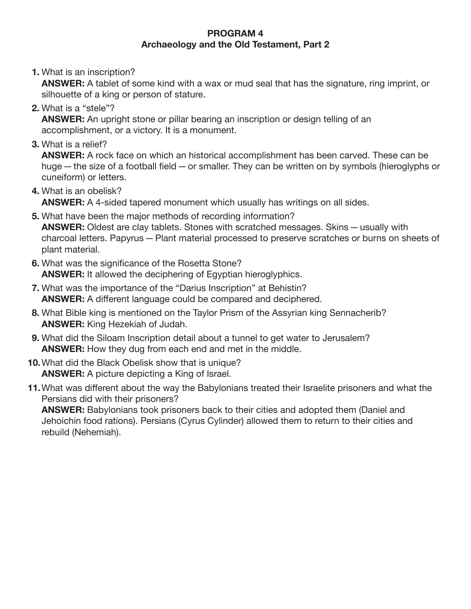#### **PROGRAM 4 Archaeology and the Old Testament, Part 2**

**1.** What is an inscription?

 **ANSWER:** A tablet of some kind with a wax or mud seal that has the signature, ring imprint, or silhouette of a king or person of stature.

**2.** What is a "stele"?

 **ANSWER:** An upright stone or pillar bearing an inscription or design telling of an accomplishment, or a victory. It is a monument.

**3.** What is a relief?

 **ANSWER:** A rock face on which an historical accomplishment has been carved. These can be huge—the size of a football field—or smaller. They can be written on by symbols (hieroglyphs or cuneiform) or letters.

**4.** What is an obelisk?

**ANSWER:** A 4-sided tapered monument which usually has writings on all sides.

- **5.** What have been the major methods of recording information? **ANSWER:** Oldest are clay tablets. Stones with scratched messages. Skins—usually with charcoal letters. Papyrus—Plant material processed to preserve scratches or burns on sheets of plant material.
- **6.** What was the significance of the Rosetta Stone? **ANSWER:** It allowed the deciphering of Egyptian hieroglyphics.
- **7.** What was the importance of the "Darius Inscription" at Behistin? **ANSWER:** A different language could be compared and deciphered.
- **8.** What Bible king is mentioned on the Taylor Prism of the Assyrian king Sennacherib? **ANSWER:** King Hezekiah of Judah.
- **9.** What did the Siloam Inscription detail about a tunnel to get water to Jerusalem? **ANSWER:** How they dug from each end and met in the middle.
- **10.** What did the Black Obelisk show that is unique? **ANSWER:** A picture depicting a King of Israel.
- **11.** What was different about the way the Babylonians treated their Israelite prisoners and what the Persians did with their prisoners?

 **ANSWER:** Babylonians took prisoners back to their cities and adopted them (Daniel and Jehoichin food rations). Persians (Cyrus Cylinder) allowed them to return to their cities and rebuild (Nehemiah).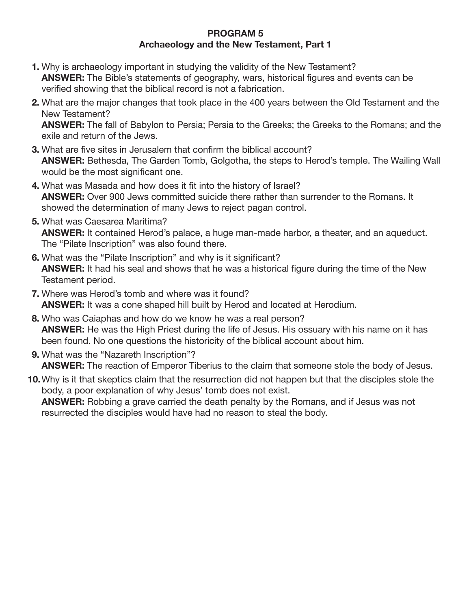#### **PROGRAM 5 Archaeology and the New Testament, Part 1**

- **1.** Why is archaeology important in studying the validity of the New Testament? **ANSWER:** The Bible's statements of geography, wars, historical figures and events can be verified showing that the biblical record is not a fabrication.
- **2.** What are the major changes that took place in the 400 years between the Old Testament and the New Testament?

 **ANSWER:** The fall of Babylon to Persia; Persia to the Greeks; the Greeks to the Romans; and the exile and return of the Jews.

- **3.** What are five sites in Jerusalem that confirm the biblical account? **ANSWER:** Bethesda, The Garden Tomb, Golgotha, the steps to Herod's temple. The Wailing Wall would be the most significant one.
- **4.** What was Masada and how does it fit into the history of Israel? **ANSWER:** Over 900 Jews committed suicide there rather than surrender to the Romans. It showed the determination of many Jews to reject pagan control.
- **5.** What was Caesarea Maritima? **ANSWER:** It contained Herod's palace, a huge man-made harbor, a theater, and an aqueduct. The "Pilate Inscription" was also found there.
- **6.** What was the "Pilate Inscription" and why is it significant? **ANSWER:** It had his seal and shows that he was a historical figure during the time of the New Testament period.
- **7.** Where was Herod's tomb and where was it found? **ANSWER:** It was a cone shaped hill built by Herod and located at Herodium.
- **8.** Who was Caiaphas and how do we know he was a real person? **ANSWER:** He was the High Priest during the life of Jesus. His ossuary with his name on it has been found. No one questions the historicity of the biblical account about him.
- **9.** What was the "Nazareth Inscription"? **ANSWER:** The reaction of Emperor Tiberius to the claim that someone stole the body of Jesus.
- **10.**Why is it that skeptics claim that the resurrection did not happen but that the disciples stole the body, a poor explanation of why Jesus' tomb does not exist.

 **ANSWER:** Robbing a grave carried the death penalty by the Romans, and if Jesus was not resurrected the disciples would have had no reason to steal the body.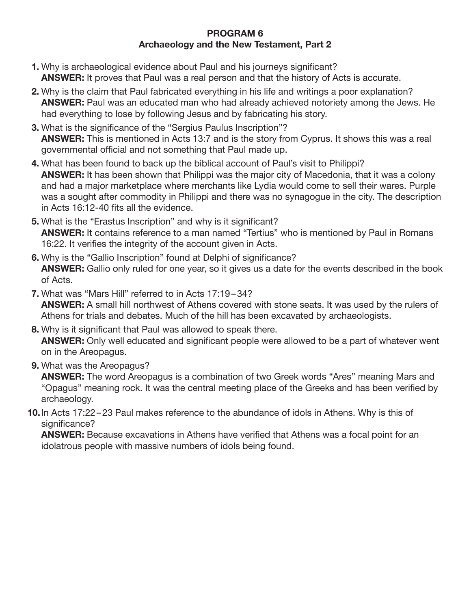#### **PROGRAM 6 Archaeology and the New Testament, Part 2**

- **1.** Why is archaeological evidence about Paul and his journeys significant? **ANSWER:** It proves that Paul was a real person and that the history of Acts is accurate.
- **2.** Why is the claim that Paul fabricated everything in his life and writings a poor explanation? **ANSWER:** Paul was an educated man who had already achieved notoriety among the Jews. He had everything to lose by following Jesus and by fabricating his story.
- **3.** What is the significance of the "Sergius Paulus Inscription"? **ANSWER:** This is mentioned in Acts 13:7 and is the story from Cyprus. It shows this was a real governmental official and not something that Paul made up.
- **4.** What has been found to back up the biblical account of Paul's visit to Philippi? **ANSWER:** It has been shown that Philippi was the major city of Macedonia, that it was a colony and had a major marketplace where merchants like Lydia would come to sell their wares. Purple was a sought after commodity in Philippi and there was no synagogue in the city. The description in Acts 16:12-40 fits all the evidence.
- **5.** What is the "Erastus Inscription" and why is it significant? **ANSWER:** It contains reference to a man named "Tertius" who is mentioned by Paul in Romans 16:22. It verifies the integrity of the account given in Acts.
- **6.** Why is the "Gallio Inscription" found at Delphi of significance? **ANSWER:** Gallio only ruled for one year, so it gives us a date for the events described in the book of Acts.
- **7.** What was "Mars Hill" referred to in Acts 17:19–34? **ANSWER:** A small hill northwest of Athens covered with stone seats. It was used by the rulers of Athens for trials and debates. Much of the hill has been excavated by archaeologists.
- **8.** Why is it significant that Paul was allowed to speak there. **ANSWER:** Only well educated and significant people were allowed to be a part of whatever went on in the Areopagus.
- **9.** What was the Areopagus?

 **ANSWER:** The word Areopagus is a combination of two Greek words "Ares" meaning Mars and "Opagus" meaning rock. It was the central meeting place of the Greeks and has been verified by archaeology.

**10.** In Acts 17:22–23 Paul makes reference to the abundance of idols in Athens. Why is this of significance?

 **ANSWER:** Because excavations in Athens have verified that Athens was a focal point for an idolatrous people with massive numbers of idols being found.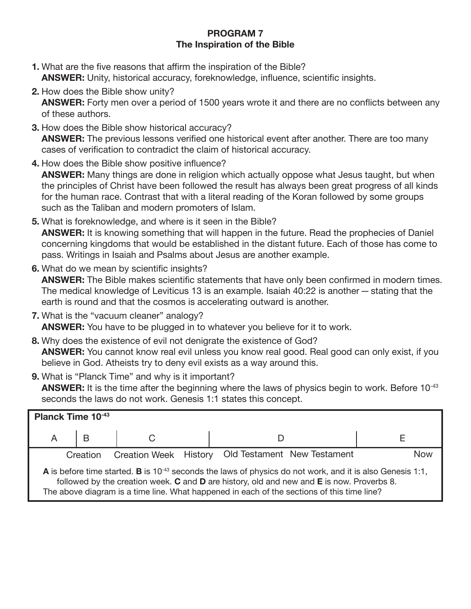#### **PROGRAM 7 The Inspiration of the Bible**

- **1.** What are the five reasons that affirm the inspiration of the Bible? **ANSWER:** Unity, historical accuracy, foreknowledge, influence, scientific insights.
- **2.** How does the Bible show unity?

 **ANSWER:** Forty men over a period of 1500 years wrote it and there are no conflicts between any of these authors.

- **3.** How does the Bible show historical accuracy? **ANSWER:** The previous lessons verified one historical event after another. There are too many cases of verification to contradict the claim of historical accuracy.
- **4.** How does the Bible show positive influence? **ANSWER:** Many things are done in religion which actually oppose what Jesus taught, but when the principles of Christ have been followed the result has always been great progress of all kinds for the human race. Contrast that with a literal reading of the Koran followed by some groups such as the Taliban and modern promoters of Islam.
- **5.** What is foreknowledge, and where is it seen in the Bible? **ANSWER:** It is knowing something that will happen in the future. Read the prophecies of Daniel concerning kingdoms that would be established in the distant future. Each of those has come to pass. Writings in Isaiah and Psalms about Jesus are another example.
- **6.** What do we mean by scientific insights? **ANSWER:** The Bible makes scientific statements that have only been confirmed in modern times. The medical knowledge of Leviticus 13 is an example. Isaiah 40:22 is another—stating that the earth is round and that the cosmos is accelerating outward is another.
- **7.** What is the "vacuum cleaner" analogy? **ANSWER:** You have to be plugged in to whatever you believe for it to work.
- **8.** Why does the existence of evil not denigrate the existence of God? **ANSWER:** You cannot know real evil unless you know real good. Real good can only exist, if you believe in God. Atheists try to deny evil exists as a way around this.
- **9.** What is "Planck Time" and why is it important? **ANSWER:** It is the time after the beginning where the laws of physics begin to work. Before 10<sup>-43</sup> seconds the laws do not work. Genesis 1:1 states this concept.

| Planck Time 10-43                                                                                                                                                                                                                                                                                                      |   |  |  |  |  |  |
|------------------------------------------------------------------------------------------------------------------------------------------------------------------------------------------------------------------------------------------------------------------------------------------------------------------------|---|--|--|--|--|--|
| A                                                                                                                                                                                                                                                                                                                      | B |  |  |  |  |  |
| Creation Week History Old Testament New Testament<br><b>Now</b><br>Creation                                                                                                                                                                                                                                            |   |  |  |  |  |  |
| A is before time started. B is 10 <sup>-43</sup> seconds the laws of physics do not work, and it is also Genesis 1:1,<br>followed by the creation week. $C$ and $D$ are history, old and new and $E$ is now. Proverbs 8.<br>The above diagram is a time line. What happened in each of the sections of this time line? |   |  |  |  |  |  |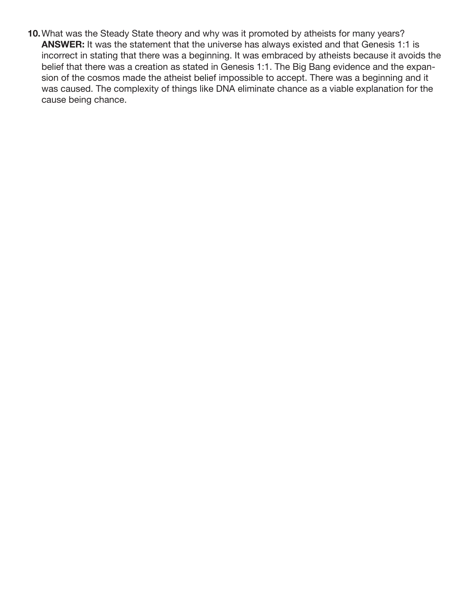**10.** What was the Steady State theory and why was it promoted by atheists for many years? **ANSWER:** It was the statement that the universe has always existed and that Genesis 1:1 is incorrect in stating that there was a beginning. It was embraced by atheists because it avoids the belief that there was a creation as stated in Genesis 1:1. The Big Bang evidence and the expansion of the cosmos made the atheist belief impossible to accept. There was a beginning and it was caused. The complexity of things like DNA eliminate chance as a viable explanation for the cause being chance.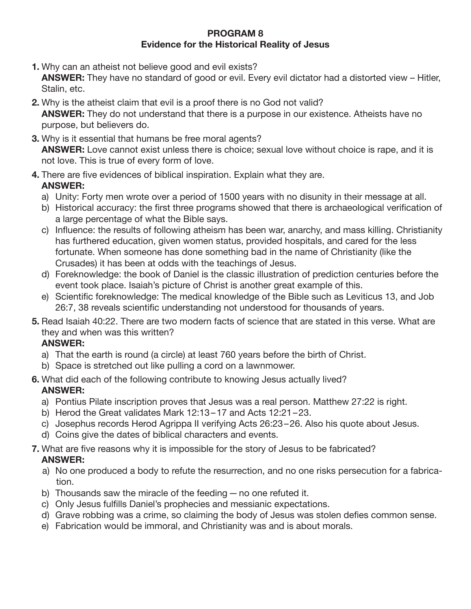#### **PROGRAM 8 Evidence for the Historical Reality of Jesus**

**1.** Why can an atheist not believe good and evil exists?

 **ANSWER:** They have no standard of good or evil. Every evil dictator had a distorted view – Hitler, Stalin, etc.

- **2.** Why is the atheist claim that evil is a proof there is no God not valid? **ANSWER:** They do not understand that there is a purpose in our existence. Atheists have no purpose, but believers do.
- **3.** Why is it essential that humans be free moral agents? **ANSWER:** Love cannot exist unless there is choice; sexual love without choice is rape, and it is not love. This is true of every form of love.
- **4.** There are five evidences of biblical inspiration. Explain what they are.  **ANSWER:**
	- a) Unity: Forty men wrote over a period of 1500 years with no disunity in their message at all.
	- b) Historical accuracy: the first three programs showed that there is archaeological verification of a large percentage of what the Bible says.
	- c) Influence: the results of following atheism has been war, anarchy, and mass killing. Christianity has furthered education, given women status, provided hospitals, and cared for the less fortunate. When someone has done something bad in the name of Christianity (like the Crusades) it has been at odds with the teachings of Jesus.
	- d) Foreknowledge: the book of Daniel is the classic illustration of prediction centuries before the event took place. Isaiah's picture of Christ is another great example of this.
	- e) Scientific foreknowledge: The medical knowledge of the Bible such as Leviticus 13, and Job 26:7, 38 reveals scientific understanding not understood for thousands of years.
- **5.** Read Isaiah 40:22. There are two modern facts of science that are stated in this verse. What are they and when was this written?

## **ANSWER:**

- a) That the earth is round (a circle) at least 760 years before the birth of Christ.
- b) Space is stretched out like pulling a cord on a lawnmower.
- **6.** What did each of the following contribute to knowing Jesus actually lived?  **ANSWER:**
	- a) Pontius Pilate inscription proves that Jesus was a real person. Matthew 27:22 is right.
	- b) Herod the Great validates Mark 12:13–17 and Acts 12:21–23.
	- c) Josephus records Herod Agrippa II verifying Acts 26:23–26. Also his quote about Jesus.
	- d) Coins give the dates of biblical characters and events.

#### **7.** What are five reasons why it is impossible for the story of Jesus to be fabricated?  **ANSWER:**

- a) No one produced a body to refute the resurrection, and no one risks persecution for a fabrication.
- b) Thousands saw the miracle of the feeding—no one refuted it.
- c) Only Jesus fulfills Daniel's prophecies and messianic expectations.
- d) Grave robbing was a crime, so claiming the body of Jesus was stolen defies common sense.
- e) Fabrication would be immoral, and Christianity was and is about morals.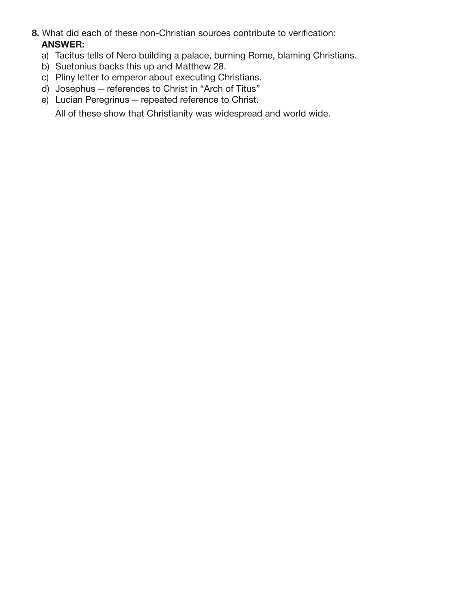- **8.** What did each of these non-Christian sources contribute to verification:  **ANSWER:**
	- a) Tacitus tells of Nero building a palace, burning Rome, blaming Christians.
	- b) Suetonius backs this up and Matthew 28.
	- c) Pliny letter to emperor about executing Christians.
	- d) Josephus references to Christ in "Arch of Titus"
	- e) Lucian Peregrinus—repeated reference to Christ.

All of these show that Christianity was widespread and world wide.